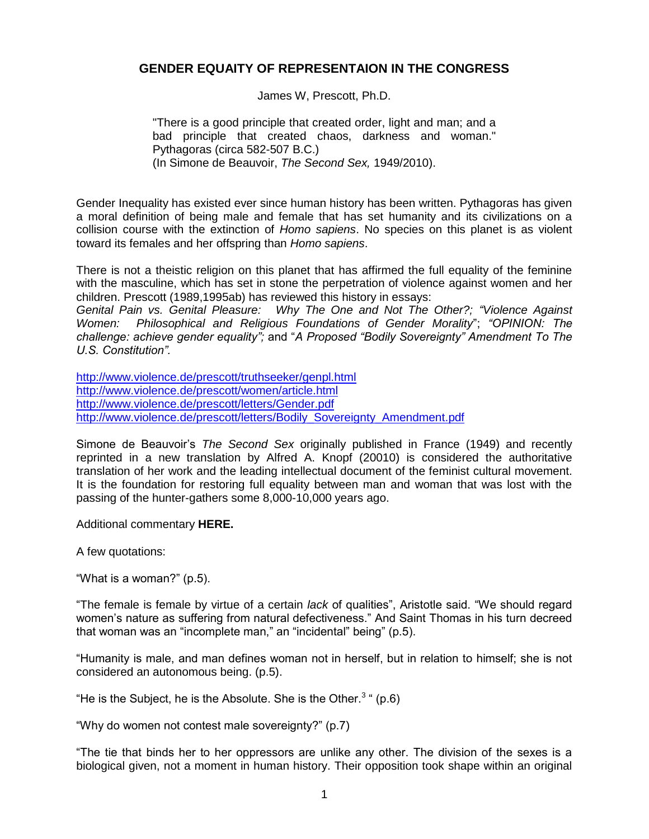# **GENDER EQUAITY OF REPRESENTAION IN THE CONGRESS**

James W, Prescott, Ph.D.

"There is a good principle that created order, light and man; and a bad principle that created chaos, darkness and woman." Pythagoras (circa 582-507 B.C.) (In Simone de Beauvoir, *The Second Sex,* 1949/2010).

Gender Inequality has existed ever since human history has been written. Pythagoras has given a moral definition of being male and female that has set humanity and its civilizations on a collision course with the extinction of *Homo sapiens*. No species on this planet is as violent toward its females and her offspring than *Homo sapiens*.

There is not a theistic religion on this planet that has affirmed the full equality of the feminine with the masculine, which has set in stone the perpetration of violence against women and her children. Prescott (1989,1995ab) has reviewed this history in essays:

*Genital Pain vs. Genital Pleasure: Why The One and Not The Other?; "Violence Against Women: Philosophical and Religious Foundations of Gender Morality*"; *"OPINION: The challenge: achieve gender equality";* and "*A Proposed "Bodily Sovereignty" Amendment To The U.S. Constitution".*

<http://www.violence.de/prescott/truthseeker/genpl.html> <http://www.violence.de/prescott/women/article.html> <http://www.violence.de/prescott/letters/Gender.pdf> [http://www.violence.de/prescott/letters/Bodily\\_Sovereignty\\_Amendment.pdf](http://www.violence.de/prescott/letters/Bodily_Sovereignty_Amendment.pdf)

Simone de Beauvoir's *The Second Sex* originally published in France (1949) and recently reprinted in a new translation by Alfred A. Knopf (20010) is considered the authoritative translation of her work and the leading intellectual document of the feminist cultural movement. It is the foundation for restoring full equality between man and woman that was lost with the passing of the hunter-gathers some 8,000-10,000 years ago.

Additional commentary **HERE.**

A few quotations:

"What is a woman?" (p.5).

"The female is female by virtue of a certain *lack* of qualities", Aristotle said. "We should regard women's nature as suffering from natural defectiveness." And Saint Thomas in his turn decreed that woman was an "incomplete man," an "incidental" being" (p.5).

"Humanity is male, and man defines woman not in herself, but in relation to himself; she is not considered an autonomous being. (p.5).

"He is the Subject, he is the Absolute. She is the Other. $3$  " (p.6)

"Why do women not contest male sovereignty?" (p.7)

"The tie that binds her to her oppressors are unlike any other. The division of the sexes is a biological given, not a moment in human history. Their opposition took shape within an original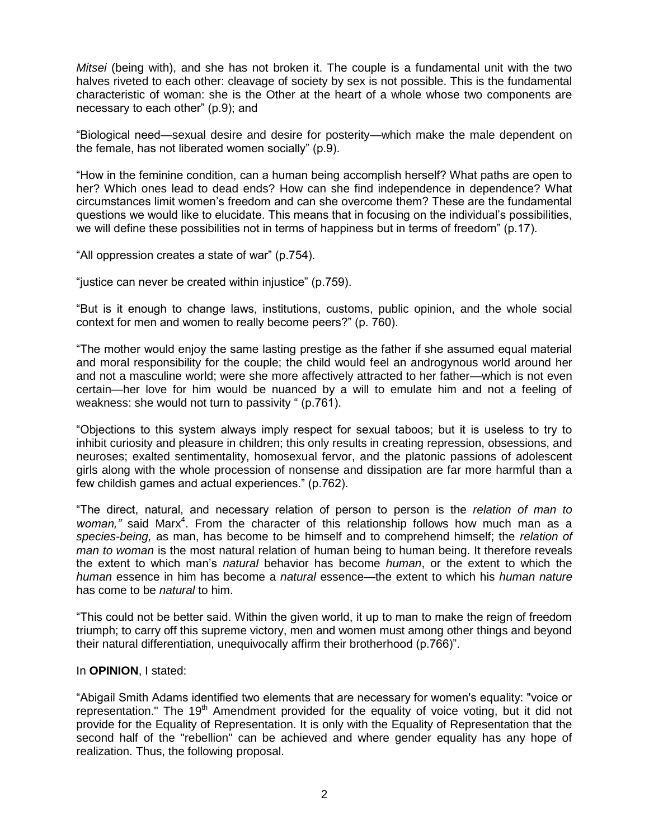*Mitsei* (being with), and she has not broken it. The couple is a fundamental unit with the two halves riveted to each other: cleavage of society by sex is not possible. This is the fundamental characteristic of woman: she is the Other at the heart of a whole whose two components are necessary to each other" (p.9); and

"Biological need—sexual desire and desire for posterity—which make the male dependent on the female, has not liberated women socially" (p.9).

"How in the feminine condition, can a human being accomplish herself? What paths are open to her? Which ones lead to dead ends? How can she find independence in dependence? What circumstances limit women's freedom and can she overcome them? These are the fundamental questions we would like to elucidate. This means that in focusing on the individual's possibilities, we will define these possibilities not in terms of happiness but in terms of freedom" (p.17).

"All oppression creates a state of war" (p.754).

"justice can never be created within injustice" (p.759).

"But is it enough to change laws, institutions, customs, public opinion, and the whole social context for men and women to really become peers?" (p. 760).

"The mother would enjoy the same lasting prestige as the father if she assumed equal material and moral responsibility for the couple; the child would feel an androgynous world around her and not a masculine world; were she more affectively attracted to her father—which is not even certain—her love for him would be nuanced by a will to emulate him and not a feeling of weakness: she would not turn to passivity " (p.761).

"Objections to this system always imply respect for sexual taboos; but it is useless to try to inhibit curiosity and pleasure in children; this only results in creating repression, obsessions, and neuroses; exalted sentimentality, homosexual fervor, and the platonic passions of adolescent girls along with the whole procession of nonsense and dissipation are far more harmful than a few childish games and actual experiences." (p.762).

"The direct, natural, and necessary relation of person to person is the *relation of man to*  woman," said Marx<sup>4</sup>. From the character of this relationship follows how much man as a *species-being,* as man, has become to be himself and to comprehend himself; the *relation of man to woman* is the most natural relation of human being to human being. It therefore reveals the extent to which man's *natural* behavior has become *human*, or the extent to which the *human* essence in him has become a *natural* essence—the extent to which his *human nature* has come to be *natural* to him.

"This could not be better said. Within the given world, it up to man to make the reign of freedom triumph; to carry off this supreme victory, men and women must among other things and beyond their natural differentiation, unequivocally affirm their brotherhood (p.766)".

### In **OPINION**, I stated:

"Abigail Smith Adams identified two elements that are necessary for women's equality: "voice or representation." The 19<sup>th</sup> Amendment provided for the equality of voice voting, but it did not provide for the Equality of Representation. It is only with the Equality of Representation that the second half of the "rebellion" can be achieved and where gender equality has any hope of realization. Thus, the following proposal.